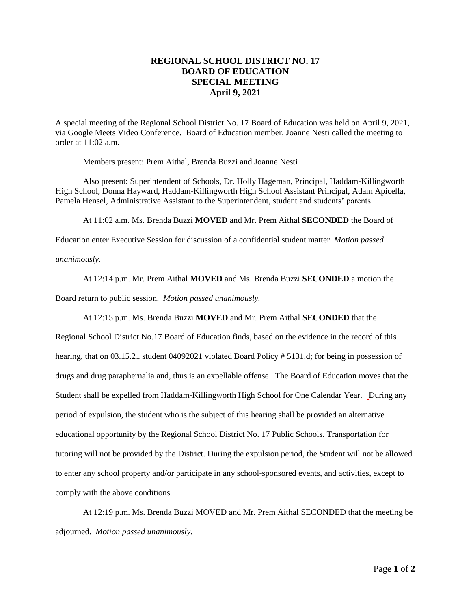## **REGIONAL SCHOOL DISTRICT NO. 17 BOARD OF EDUCATION SPECIAL MEETING April 9, 2021**

A special meeting of the Regional School District No. 17 Board of Education was held on April 9, 2021, via Google Meets Video Conference. Board of Education member, Joanne Nesti called the meeting to order at 11:02 a.m.

Members present: Prem Aithal, Brenda Buzzi and Joanne Nesti

Also present: Superintendent of Schools, Dr. Holly Hageman, Principal, Haddam-Killingworth High School, Donna Hayward, Haddam-Killingworth High School Assistant Principal, Adam Apicella, Pamela Hensel, Administrative Assistant to the Superintendent, student and students' parents.

At 11:02 a.m. Ms. Brenda Buzzi **MOVED** and Mr. Prem Aithal **SECONDED** the Board of

Education enter Executive Session for discussion of a confidential student matter. *Motion passed* 

*unanimously.*

At 12:14 p.m. Mr. Prem Aithal **MOVED** and Ms. Brenda Buzzi **SECONDED** a motion the

Board return to public session. *Motion passed unanimously.* 

At 12:15 p.m. Ms. Brenda Buzzi **MOVED** and Mr. Prem Aithal **SECONDED** that the

Regional School District No.17 Board of Education finds, based on the evidence in the record of this hearing, that on 03.15.21 student 04092021 violated Board Policy # 5131.d; for being in possession of drugs and drug paraphernalia and, thus is an expellable offense. The Board of Education moves that the Student shall be expelled from Haddam-Killingworth High School for One Calendar Year. During any period of expulsion, the student who is the subject of this hearing shall be provided an alternative educational opportunity by the Regional School District No. 17 Public Schools. Transportation for tutoring will not be provided by the District. During the expulsion period, the Student will not be allowed to enter any school property and/or participate in any school-sponsored events, and activities, except to comply with the above conditions.

At 12:19 p.m. Ms. Brenda Buzzi MOVED and Mr. Prem Aithal SECONDED that the meeting be adjourned. *Motion passed unanimously.*